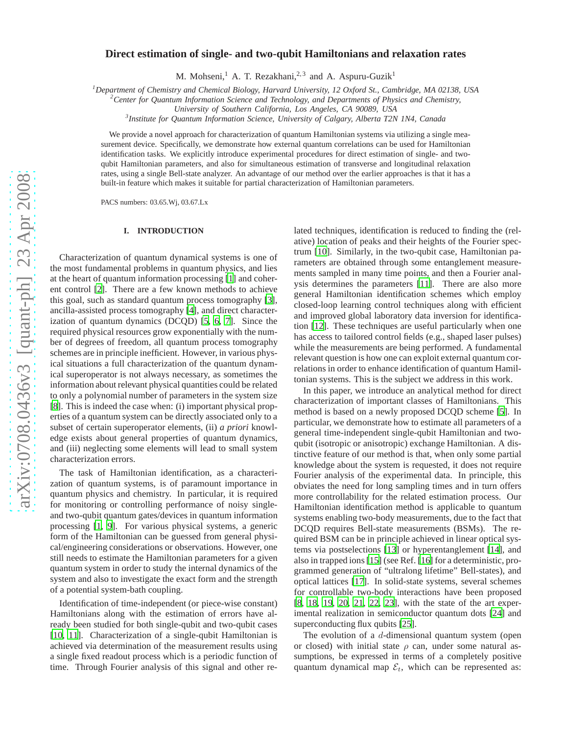# **Direct estimation of single- and two-qubit Hamiltonians and relaxation rates**

M. Mohseni,<sup>1</sup> A. T. Rezakhani,<sup>2,3</sup> and A. Aspuru-Guzik<sup>1</sup>

*<sup>1</sup>Department of Chemistry and Chemical Biology, Harvard University, 12 Oxford St., Cambridge, MA 02138, USA*

*<sup>2</sup>Center for Quantum Information Science and Technology, and Departments of Physics and Chemistry,*

*University of Southern California, Los Angeles, CA 90089, USA*

*3 Institute for Quantum Information Science, University of Calgary, Alberta T2N 1N4, Canada*

We provide a novel approach for characterization of quantum Hamiltonian systems via utilizing a single measurement device. Specifically, we demonstrate how external quantum correlations can be used for Hamiltonian identification tasks. We explicitly introduce experimental procedures for direct estimation of single- and twoqubit Hamiltonian parameters, and also for simultaneous estimation of transverse and longitudinal relaxation rates, using a single Bell-state analyzer. An advantage of our method over the earlier approaches is that it has a built-in feature which makes it suitable for partial characterization of Hamiltonian parameters.

PACS numbers: 03.65.Wj, 03.67.Lx

### **I. INTRODUCTION**

Characterization of quantum dynamical systems is one of the most fundamental problems in quantum physics, and lies at the heart of quantum information processing [\[1](#page-4-0)] and coherent control [\[2\]](#page-4-1). There are a few known methods to achieve this goal, such as standard quantum process tomography [\[3](#page-4-2)], ancilla-assisted process tomography [\[4\]](#page-4-3), and direct characterization of quantum dynamics (DCQD) [\[5,](#page-4-4) [6](#page-4-5), [7](#page-4-6)]. Since the required physical resources grow exponentially with the number of degrees of freedom, all quantum process tomography schemes are in principle inefficient. However, in various physical situations a full characterization of the quantum dynamical superoperator is not always necessary, as sometimes the information about relevant physical quantities could be related to only a polynomial number of parameters in the system size [\[8](#page-4-7)]. This is indeed the case when: (i) important physical properties of a quantum system can be directly associated only to a subset of certain superoperator elements, (ii) *a priori* knowledge exists about general properties of quantum dynamics, and (iii) neglecting some elements will lead to small system characterization errors.

The task of Hamiltonian identification, as a characterization of quantum systems, is of paramount importance in quantum physics and chemistry. In particular, it is required for monitoring or controlling performance of noisy singleand two-qubit quantum gates/devices in quantum information processing [\[1,](#page-4-0) [9\]](#page-4-8). For various physical systems, a generic form of the Hamiltonian can be guessed from general physical/engineering considerations or observations. However, one still needs to estimate the Hamiltonian parameters for a given quantum system in order to study the internal dynamics of the system and also to investigate the exact form and the strength of a potential system-bath coupling.

Identification of time-independent (or piece-wise constant) Hamiltonians along with the estimation of errors have already been studied for both single-qubit and two-qubit cases [\[10](#page-4-9), [11](#page-4-10)]. Characterization of a single-qubit Hamiltonian is achieved via determination of the measurement results using a single fixed readout process which is a periodic function of time. Through Fourier analysis of this signal and other related techniques, identification is reduced to finding the (relative) location of peaks and their heights of the Fourier spectrum [\[10](#page-4-9)]. Similarly, in the two-qubit case, Hamiltonian parameters are obtained through some entanglement measurements sampled in many time points, and then a Fourier analysis determines the parameters [\[11\]](#page-4-10). There are also more general Hamiltonian identification schemes which employ closed-loop learning control techniques along with efficient and improved global laboratory data inversion for identification [\[12\]](#page-4-11). These techniques are useful particularly when one has access to tailored control fields (e.g., shaped laser pulses) while the measurements are being performed. A fundamental relevant question is how one can exploit external quantum correlations in order to enhance identification of quantum Hamiltonian systems. This is the subject we address in this work.

In this paper, we introduce an analytical method for direct characterization of important classes of Hamiltonians. This method is based on a newly proposed DCQD scheme [\[5\]](#page-4-4). In particular, we demonstrate how to estimate all parameters of a general time-independent single-qubit Hamiltonian and twoqubit (isotropic or anisotropic) exchange Hamiltonian. A distinctive feature of our method is that, when only some partial knowledge about the system is requested, it does not require Fourier analysis of the experimental data. In principle, this obviates the need for long sampling times and in turn offers more controllability for the related estimation process. Our Hamiltonian identification method is applicable to quantum systems enabling two-body measurements, due to the fact that DCQD requires Bell-state measurements (BSMs). The required BSM can be in principle achieved in linear optical systems via postselections [\[13](#page-4-12)] or hyperentanglement [\[14\]](#page-4-13), and also in trapped ions [\[15](#page-4-14)] (see Ref. [\[16\]](#page-4-15) for a deterministic, programmed generation of "ultralong lifetime" Bell-states), and optical lattices [\[17](#page-4-16)]. In solid-state systems, several schemes for controllable two-body interactions have been proposed [\[8](#page-4-7), [18,](#page-4-17) [19,](#page-4-18) [20](#page-4-19), [21,](#page-4-20) [22](#page-4-21), [23\]](#page-4-22), with the state of the art experimental realization in semiconductor quantum dots [\[24\]](#page-4-23) and superconducting flux qubits [\[25\]](#page-4-24).

The evolution of a d-dimensional quantum system (open or closed) with initial state  $\rho$  can, under some natural assumptions, be expressed in terms of a completely positive quantum dynamical map  $\mathcal{E}_t$ , which can be represented as: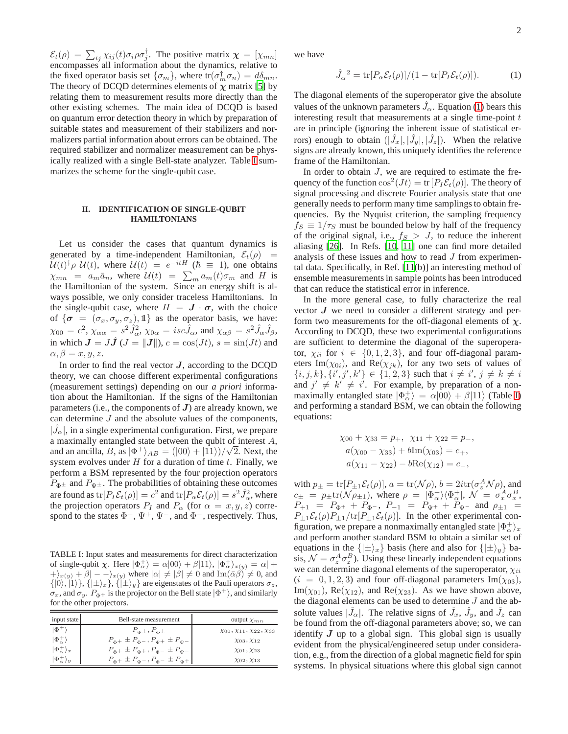$\mathcal{E}_t(\rho) = \sum_{ij} \chi_{ij}(t) \sigma_i \rho \sigma_j^{\dagger}$ . The positive matrix  $\boldsymbol{\chi} = [\chi_{mn}]$ encompasses all information about the dynamics, relative to the fixed operator basis set  $\{\sigma_m\}$ , where  $tr(\sigma_m^{\dagger} \sigma_n) = d\delta_{mn}$ . The theory of DCQD determines elements of  $\chi$  matrix [\[5](#page-4-4)] by relating them to measurement results more directly than the other existing schemes. The main idea of DCQD is based on quantum error detection theory in which by preparation of suitable states and measurement of their stabilizers and normalizers partial information about errors can be obtained. The required stabilizer and normalizer measurement can be physically realized with a single Bell-state analyzer. Table [I](#page-1-0) summarizes the scheme for the single-qubit case.

### **II. IDENTIFICATION OF SINGLE-QUBIT HAMILTONIANS**

Let us consider the cases that quantum dynamics is generated by a time-independent Hamiltonian,  $\mathcal{E}_t(\rho)$  $\mathcal{U}(t)^\dagger \rho \mathcal{U}(t)$ , where  $\mathcal{U}(t) = e^{-itH}$  ( $\hbar \equiv 1$ ), one obtains  $\chi_{mn} = a_m \bar{a}_n$ , where  $\mathcal{U}(t) = \sum_m a_m(t) \sigma_m$  and H is the Hamiltonian of the system. Since an energy shift is always possible, we only consider traceless Hamiltonians. In the single-qubit case, where  $H = J \cdot \sigma$ , with the choice of  $\{\sigma = (\sigma_x, \sigma_y, \sigma_z), \mathbb{1}\}\$ as the operator basis, we have:  $\chi_{00}=c^2, \chi_{\alpha\alpha}=s^2\hat{J}_{\alpha}^2, \chi_{0\alpha}=isc\hat{J}_{\alpha}$ , and  $\chi_{\alpha\beta}=s^2\hat{J}_{\alpha}\hat{J}_{\beta}$ , in which  $J = J\hat{J}$  ( $J = ||J||$ ),  $c = \cos(Jt)$ ,  $s = \sin(Jt)$  and  $\alpha, \beta = x, y, z.$ 

In order to find the real vector  $J$ , according to the DCQD theory, we can choose different experimental configurations (measurement settings) depending on our *a priori* information about the Hamiltonian. If the signs of the Hamiltonian parameters (i.e., the components of  $J$ ) are already known, we can determine  $J$  and the absolute values of the components,  $|\hat{J}_{\alpha}|$ , in a single experimental configuration. First, we prepare a maximally entangled state between the qubit of interest A, and an ancilla,  $B$ , as  $|\Phi^+\rangle_{AB} = (|00\rangle + |11\rangle)/\sqrt{2}$ . Next, the system evolves under  $H$  for a duration of time  $t$ . Finally, we perform a BSM represented by the four projection operators  $P_{\Phi^{\pm}}$  and  $P_{\Psi^{\pm}}$ . The probabilities of obtaining these outcomes are found as  $tr[P_I \mathcal{E}_t(\rho)] = c^2$  and  $tr[P_\alpha \mathcal{E}_t(\rho)] = s^2 \hat{J}_\alpha^2$ , where the projection operators  $P_I$  and  $P_\alpha$  (for  $\alpha = x, y, z$ ) correspond to the states  $\Phi^+$ ,  $\Psi^+$ ,  $\Psi^-$ , and  $\Phi^-$ , respectively. Thus,

<span id="page-1-0"></span>TABLE I: Input states and measurements for direct characterization of single-qubit  $\chi$ . Here  $|\Phi_{\alpha}^{+}\rangle = \alpha|00\rangle + \beta|11\rangle$ ,  $|\Phi_{\alpha}^{+}\rangle_{x(y)} = \alpha|+\rangle$  $\langle +\rangle_{x(y)} + \beta | -- \rangle_{x(y)}$  where  $|\alpha| \neq |\beta| \neq 0$  and  $\text{Im}(\bar{\alpha}\beta) \neq 0$ , and  $\{|0\rangle, |1\rangle\}, \{| \pm \rangle_x\}, \{| \pm \rangle_y\}$  are eigenstates of the Pauli operators  $\sigma_z$ ,  $\sigma_x$ , and  $\sigma_y$ .  $P_{\Phi^+}$  is the projector on the Bell state  $|\Phi^+\rangle$ , and similarly for the other projectors.

| input state                     | Bell-state measurement                                    | output $\chi_{mn}$                          |
|---------------------------------|-----------------------------------------------------------|---------------------------------------------|
| $ \Phi^+ $                      | $P_{\Psi}$ $\pm$ , $P_{\Phi}$ $\pm$                       | $\chi$ 00, $\chi$ 11, $\chi$ 22, $\chi$ 33  |
| $ \Phi_{\alpha}^{+}\rangle$     | $P_{\Phi^+} \pm P_{\Phi^-}$ , $P_{\Psi^+} \pm P_{\Psi^-}$ | $\chi$ <sub>03</sub> , $\chi$ <sub>12</sub> |
| $ \Phi_{\alpha}^{+}\rangle_{x}$ | $P_{\Phi^+} \pm P_{\Psi^+}, P_{\Phi^-} \pm P_{\Psi^-}$    | $\chi_{01}, \chi_{23}$                      |
| $ \Phi^+ $                      | $P_{\phi+} \pm P_{\psi-}$ , $P_{\phi-} \pm P_{\psi+}$     | $\chi_{02}, \chi_{13}$                      |

we have

<span id="page-1-1"></span>
$$
\hat{J}_{\alpha}^2 = \text{tr}[P_{\alpha} \mathcal{E}_t(\rho)]/(1 - \text{tr}[P_I \mathcal{E}_t(\rho)]). \tag{1}
$$

The diagonal elements of the superoperator give the absolute values of the unknown parameters  $\hat{J}_{\alpha}$ . Equation [\(1\)](#page-1-1) bears this interesting result that measurements at a single time-point  $t$ are in principle (ignoring the inherent issue of statistical errors) enough to obtain  $(|\hat{J}_x|, |\hat{J}_y|, |\hat{J}_z|)$ . When the relative signs are already known, this uniquely identifies the reference frame of the Hamiltonian.

In order to obtain  $J$ , we are required to estimate the frequency of the function  $\cos^2(Jt) = \text{tr}[P_I \mathcal{E}_t(\rho)]$ . The theory of signal processing and discrete Fourier analysis state that one generally needs to perform many time samplings to obtain frequencies. By the Nyquist criterion, the sampling frequency  $f_S \equiv 1/\tau_S$  must be bounded below by half of the frequency of the original signal, i.e.,  $f_S > J$ , to reduce the inherent aliasing [26]. In Refs. [\[10,](#page-4-9) [11](#page-4-10)] one can find more detailed analysis of these issues and how to read J from experimental data. Specifically, in Ref. [\[11](#page-4-10)(b)] an interesting method of ensemble measurements in sample points has been introduced that can reduce the statistical error in inference.

In the more general case, to fully characterize the real vector  $J$  we need to consider a different strategy and perform two measurements for the off-diagonal elements of  $\chi$ . According to DCQD, these two experimental configurations are sufficient to determine the diagonal of the superoperator,  $\chi_{ii}$  for  $i \in \{0, 1, 2, 3\}$ , and four off-diagonal parameters Im( $\chi_{0i}$ ), and Re( $\chi_{ik}$ ), for any two sets of values of  $\{i, j, k\}, \{i', j', k'\} \in \{1, 2, 3\}$  such that  $i \neq i', j \neq k \neq i$ and  $j' \neq k' \neq i'$ . For example, by preparation of a nonmaximally entangled state  $|\Phi_{\alpha}^{+}\rangle = \alpha|00\rangle + \beta|11\rangle$  (Table [I\)](#page-1-0) and performing a standard BSM, we can obtain the following equations:

$$
\chi_{00} + \chi_{33} = p_+, \quad \chi_{11} + \chi_{22} = p_-,
$$
  
\n
$$
a(\chi_{00} - \chi_{33}) + b \text{Im}(\chi_{03}) = c_+,
$$
  
\n
$$
a(\chi_{11} - \chi_{22}) - b \text{Re}(\chi_{12}) = c_-,
$$

with  $p_{\pm} = \text{tr}[P_{\pm 1} \mathcal{E}_t(\rho)], a = \text{tr}(\mathcal{N}\rho), b = 2i \text{tr}(\sigma_z^A \mathcal{N}\rho),$  and  $c_{\pm} = p_{\pm} \text{tr}(\mathcal{N} \rho_{\pm 1}), \text{ where } \rho = |\Phi_{\alpha}^{+}\rangle \langle \Phi_{\alpha}^{+}|, \mathcal{N} = \sigma_{x}^{A} \sigma_{x}^{B},$  $P_{+1}$  =  $P_{\Phi^+}$  +  $P_{\Phi^-}$ ,  $P_{-1}$  =  $P_{\Psi^+}$  +  $P_{\Psi^-}$  and  $\rho_{\pm 1}$  =  $P_{\pm 1}\mathcal{E}_t(\rho)P_{\pm 1}/\text{tr}[P_{\pm 1}\mathcal{E}_t(\rho)]$ . In the other experimental configuration, we prepare a nonmaximally entangled state  $|\Phi_{\alpha}^{+}\rangle_{x}$ and perform another standard BSM to obtain a similar set of equations in the  $\{|\pm\rangle_x\}$  basis (here and also for  $\{|\pm\rangle_y\}$  basis,  $\mathcal{N} = \sigma_z^A \sigma_z^B$ ). Using these linearly independent equations we can determine diagonal elements of the superoperator,  $\chi_{ii}$  $(i = 0, 1, 2, 3)$  and four off-diagonal parameters Im $(\chi_{03})$ , Im( $\chi_{01}$ ), Re( $\chi_{12}$ ), and Re( $\chi_{23}$ ). As we have shown above, the diagonal elements can be used to determine J and the absolute values  $|\hat{J}_{\alpha}|$ . The relative signs of  $\hat{J}_x$ ,  $\hat{J}_y$ , and  $\hat{J}_z$  can be found from the off-diagonal parameters above; so, we can identify  $J$  up to a global sign. This global sign is usually evident from the physical/engineered setup under consideration, e.g., from the direction of a global magnetic field for spin systems. In physical situations where this global sign cannot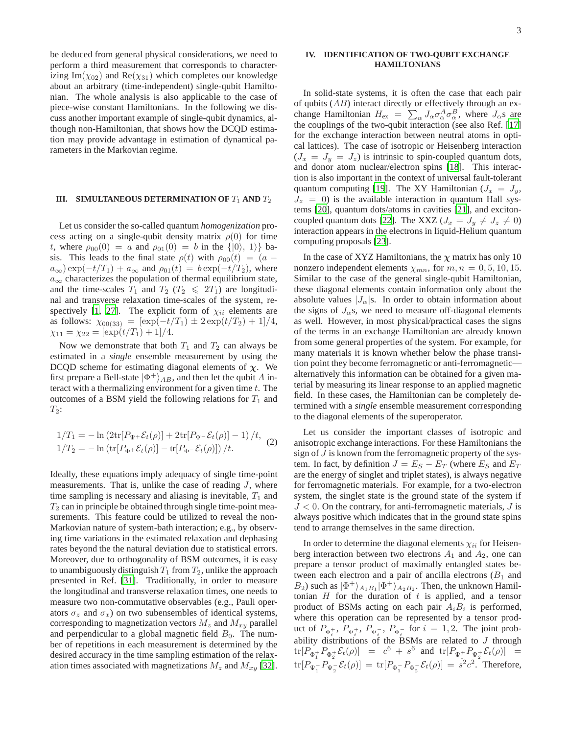be deduced from general physical considerations, we need to perform a third measurement that corresponds to characterizing Im( $\chi_{02}$ ) and Re( $\chi_{31}$ ) which completes our knowledge about an arbitrary (time-independent) single-qubit Hamiltonian. The whole analysis is also applicable to the case of piece-wise constant Hamiltonians. In the following we discuss another important example of single-qubit dynamics, although non-Hamiltonian, that shows how the DCQD estimation may provide advantage in estimation of dynamical parameters in the Markovian regime.

# **III.** SIMULTANEOUS DETERMINATION OF  $T_1$  AND  $T_2$

Let us consider the so-called quantum *homogenization* process acting on a single-qubit density matrix  $\rho(0)$  for time t, where  $\rho_{00}(0) = a$  and  $\rho_{01}(0) = b$  in the  $\{|0\rangle, |1\rangle\}$  basis. This leads to the final state  $\rho(t)$  with  $\rho_{00}(t) = (a$  $a_{\infty}$ ) exp( $-t/T_1$ ) +  $a_{\infty}$  and  $\rho_{01}(t) = b \exp(-t/T_2)$ , where  $a_{\infty}$  characterizes the population of thermal equilibrium state, and the time-scales  $T_1$  and  $T_2$  ( $T_2 \leq 2T_1$ ) are longitudinal and transverse relaxation time-scales of the system, re-spectively [\[1,](#page-4-0) [27](#page-4-25)]. The explicit form of  $\chi_{ii}$  elements are as follows:  $\chi_{00(33)} = [\exp(-t/T_1) \pm 2 \exp(t/T_2) + 1]/4,$  $\chi_{11} = \chi_{22} = [\exp(t/T_1) + 1]/4.$ 

Now we demonstrate that both  $T_1$  and  $T_2$  can always be estimated in a *single* ensemble measurement by using the DCQD scheme for estimating diagonal elements of  $\chi$ . We first prepare a Bell-state  $|\Phi^{+}\rangle_{AB}$ , and then let the qubit A interact with a thermalizing environment for a given time  $t$ . The outcomes of a BSM yield the following relations for  $T_1$  and  $T_2$ :

$$
1/T_1 = -\ln\left(2\text{tr}[P_{\Psi^+} \mathcal{E}_t(\rho)] + 2\text{tr}[P_{\Psi^-} \mathcal{E}_t(\rho)] - 1\right)/t, \tag{2}
$$
  

$$
1/T_2 = -\ln\left(\text{tr}[P_{\Phi^+} \mathcal{E}_t(\rho)] - \text{tr}[P_{\Phi^-} \mathcal{E}_t(\rho)]\right)/t.
$$

Ideally, these equations imply adequacy of single time-point measurements. That is, unlike the case of reading  $J$ , where time sampling is necessary and aliasing is inevitable,  $T_1$  and  $T_2$  can in principle be obtained through single time-point measurements. This feature could be utilized to reveal the non-Markovian nature of system-bath interaction; e.g., by observing time variations in the estimated relaxation and dephasing rates beyond the the natural deviation due to statistical errors. Moreover, due to orthogonality of BSM outcomes, it is easy to unambiguously distinguish  $T_1$  from  $T_2$ , unlike the approach presented in Ref. [\[31](#page-4-26)]. Traditionally, in order to measure the longitudinal and transverse relaxation times, one needs to measure two non-commutative observables (e.g., Pauli operators  $\sigma_z$  and  $\sigma_x$ ) on two subensembles of identical systems, corresponding to magnetization vectors  $M_z$  and  $M_{xy}$  parallel and perpendicular to a global magnetic field  $B_0$ . The number of repetitions in each measurement is determined by the desired accuracy in the time sampling estimation of the relaxation times associated with magnetizations  $M_z$  and  $M_{xy}$  [\[32](#page-4-27)].

## **IV. IDENTIFICATION OF TWO-QUBIT EXCHANGE HAMILTONIANS**

In solid-state systems, it is often the case that each pair of qubits  $(AB)$  interact directly or effectively through an exchange Hamiltonian  $H_{\text{ex}} = \sum_{\alpha} J_{\alpha} \sigma_{\alpha}^{A} \sigma_{\alpha}^{B}$ , where  $J_{\alpha}$ s are the couplings of the two-qubit interaction (see also Ref. [\[17\]](#page-4-16) for the exchange interaction between neutral atoms in optical lattices). The case of isotropic or Heisenberg interaction  $(J_x = J_y = J_z)$  is intrinsic to spin-coupled quantum dots, and donor atom nuclear/electron spins [\[18\]](#page-4-17). This interaction is also important in the context of universal fault-tolerant quantum computing [\[19](#page-4-18)]. The XY Hamiltonian  $(J_x = J_y,$  $J_z = 0$ ) is the available interaction in quantum Hall systems [\[20](#page-4-19)], quantum dots/atoms in cavities [\[21](#page-4-20)], and exciton-coupled quantum dots [\[22](#page-4-21)]. The XXZ ( $J_x = J_y \neq J_z \neq 0$ ) interaction appears in the electrons in liquid-Helium quantum computing proposals [\[23](#page-4-22)].

In the case of XYZ Hamiltonians, the  $\chi$  matrix has only 10 nonzero independent elements  $\chi_{mn}$ , for  $m, n = 0, 5, 10, 15$ . Similar to the case of the general single-qubit Hamiltonian, these diagonal elements contain information only about the absolute values  $|J_{\alpha}|$ s. In order to obtain information about the signs of  $J_{\alpha}$ s, we need to measure off-diagonal elements as well. However, in most physical/practical cases the signs of the terms in an exchange Hamiltonian are already known from some general properties of the system. For example, for many materials it is known whether below the phase transition point they become ferromagnetic or anti-ferromagnetic alternatively this information can be obtained for a given material by measuring its linear response to an applied magnetic field. In these cases, the Hamiltonian can be completely determined with a *single* ensemble measurement corresponding to the diagonal elements of the superoperator.

Let us consider the important classes of isotropic and anisotropic exchange interactions. For these Hamiltonians the sign of J is known from the ferromagnetic property of the system. In fact, by definition  $J = E_S - E_T$  (where  $E_S$  and  $E_T$ ) are the energy of singlet and triplet states), is always negative for ferromagnetic materials. For example, for a two-electron system, the singlet state is the ground state of the system if  $J < 0$ . On the contrary, for anti-ferromagnetic materials,  $J$  is always positive which indicates that in the ground state spins tend to arrange themselves in the same direction.

In order to determine the diagonal elements  $\chi_{ii}$  for Heisenberg interaction between two electrons  $A_1$  and  $A_2$ , one can prepare a tensor product of maximally entangled states between each electron and a pair of ancilla electrons  $(B_1 \text{ and } B_2 \text{)}$  $B_2$ ) such as  $|\Phi^+\rangle_{A_1B_1}|\Phi^+\rangle_{A_2B_2}$ . Then, the unknown Hamiltonian  $H$  for the duration of  $t$  is applied, and a tensor product of BSMs acting on each pair  $A_i B_i$  is performed, where this operation can be represented by a tensor product of  $P_{\Phi_i^+}$ ,  $P_{\Psi_i^+}$ ,  $P_{\Psi_i^-}$ ,  $P_{\Phi_i^-}$  for  $i = 1, 2$ . The joint probability distributions of the BSMs are related to  $J$  through  ${\rm tr}[P_{\Phi_1^+} P_{\Phi_2^+} \mathcal{E}_t(\rho)] \;\; = \;\; c^6 \; + \; s^6 \;\; \text{and} \;\; {\rm tr}[P_{\Psi_1^+} P_{\Psi_2^+} \mathcal{E}_t(\rho)] \;\; = \;\;$  $\mathrm{tr}[P_{\Psi_1^-} P_{\Psi_2^-} \mathcal{E}_t(\rho)] = \mathrm{tr}[P_{\Phi_1^-} P_{\Phi_2^-} \mathcal{E}_t(\rho)] = s^2 c^2.$  Therefore,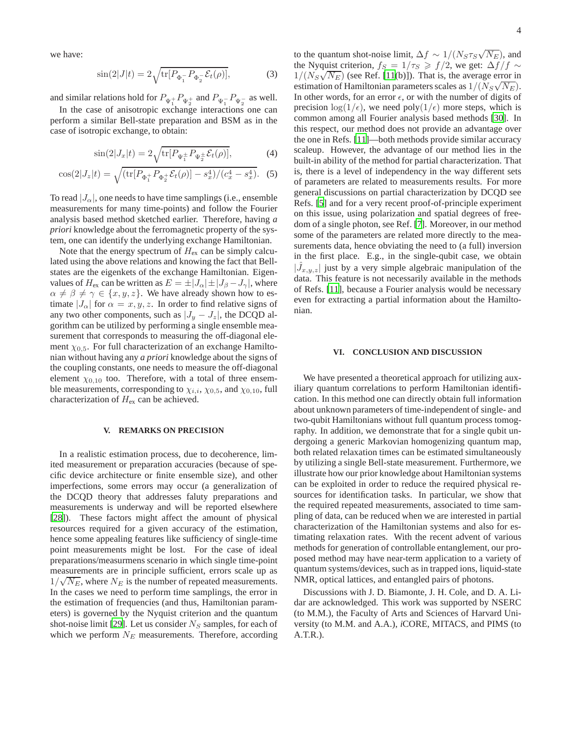we have:

$$
\sin(2|J|t) = 2\sqrt{\text{tr}[P_{\Phi_1^-} P_{\Phi_2^-} \mathcal{E}_t(\rho)]},\tag{3}
$$

and similar relations hold for  $P_{\Psi_1^+}P_{\Psi_2^+}$  and  $P_{\Psi_1^-}P_{\Psi_2^-}$  as well.

In the case of anisotropic exchange interactions one can perform a similar Bell-state preparation and BSM as in the case of isotropic exchange, to obtain:

$$
\sin(2|J_x|t) = 2\sqrt{\text{tr}[P_{\Psi_1^{\pm}} P_{\Psi_2^{\pm}} \mathcal{E}_t(\rho)]},\tag{4}
$$

$$
\cos(2|J_z|t) = \sqrt{\left(\text{tr}[P_{\Phi_1^+} P_{\Phi_2^+} \mathcal{E}_t(\rho)] - s_x^4\right) / (c_x^4 - s_x^4)}.
$$
 (5)

To read  $|J_\alpha|$ , one needs to have time samplings (i.e., ensemble measurements for many time-points) and follow the Fourier analysis based method sketched earlier. Therefore, having *a priori* knowledge about the ferromagnetic property of the system, one can identify the underlying exchange Hamiltonian.

Note that the energy spectrum of  $H_{\text{ex}}$  can be simply calculated using the above relations and knowing the fact that Bellstates are the eigenkets of the exchange Hamiltonian. Eigenvalues of  $H_{\text{ex}}$  can be written as  $E = \pm |J_{\alpha}| \pm |J_{\beta} - J_{\gamma}|$ , where  $\alpha \neq \beta \neq \gamma \in \{x, y, z\}$ . We have already shown how to estimate  $|J_{\alpha}|$  for  $\alpha = x, y, z$ . In order to find relative signs of any two other components, such as  $|J_y - J_z|$ , the DCQD algorithm can be utilized by performing a single ensemble measurement that corresponds to measuring the off-diagonal element  $\chi_{0.5}$ . For full characterization of an exchange Hamiltonian without having any *a priori* knowledge about the signs of the coupling constants, one needs to measure the off-diagonal element  $\chi_{0,10}$  too. Therefore, with a total of three ensemble measurements, corresponding to  $\chi_{i,i}$ ,  $\chi_{0,5}$ , and  $\chi_{0,10}$ , full characterization of  $H_{\text{ex}}$  can be achieved.

## **V. REMARKS ON PRECISION**

In a realistic estimation process, due to decoherence, limited measurement or preparation accuracies (because of specific device architecture or finite ensemble size), and other imperfections, some errors may occur (a generalization of the DCQD theory that addresses faluty preparations and measurements is underway and will be reported elsewhere [\[28](#page-4-28)]). These factors might affect the amount of physical resources required for a given accuracy of the estimation, hence some appealing features like sufficiency of single-time point measurements might be lost. For the case of ideal preparations/measurmens scenario in which single time-point measurements are in principle sufficient, errors scale up as  $1/\sqrt{N_E}$ , where  $N_E$  is the number of repeated measurements. In the cases we need to perform time samplings, the error in the estimation of frequencies (and thus, Hamiltonian parameters) is governed by the Nyquist criterion and the quantum shot-noise limit [\[29\]](#page-4-29). Let us consider  $N<sub>S</sub>$  samples, for each of which we perform  $N_E$  measurements. Therefore, according

to the quantum shot-noise limit,  $\Delta f \sim 1/(N_S \tau_S \sqrt{N_E})$ , and the Nyquist criterion,  $f_S = 1/\tau_S \geq f/2$ , we get:  $\Delta f/f \sim$  $1/(N_S\sqrt{N_E})$  (see Ref. [\[11](#page-4-10)(b)]). That is, the average error in estimation of Hamiltonian parameters scales as  $1/(N_S\sqrt{N_E})$ . In other words, for an error  $\epsilon$ , or with the number of digits of precision  $\log(1/\epsilon)$ , we need poly $(1/\epsilon)$  more steps, which is common among all Fourier analysis based methods [\[30\]](#page-4-30). In this respect, our method does not provide an advantage over the one in Refs. [\[11\]](#page-4-10)—both methods provide similar accuracy scaleup. However, the advantage of our method lies in the built-in ability of the method for partial characterization. That is, there is a level of independency in the way different sets of parameters are related to measurements results. For more general discussions on partial characterization by DCQD see Refs. [\[5](#page-4-4)] and for a very recent proof-of-principle experiment on this issue, using polarization and spatial degrees of freedom of a single photon, see Ref. [\[7\]](#page-4-6). Moreover, in our method some of the parameters are related more directly to the measurements data, hence obviating the need to (a full) inversion in the first place. E.g., in the single-qubit case, we obtain  $|\hat{J}_{x,y,z}|$  just by a very simple algebraic manipulation of the data. This feature is not necessarily available in the methods of Refs. [\[11](#page-4-10)], because a Fourier analysis would be necessary even for extracting a partial information about the Hamiltonian.

#### **VI. CONCLUSION AND DISCUSSION**

We have presented a theoretical approach for utilizing auxiliary quantum correlations to perform Hamiltonian identification. In this method one can directly obtain full information about unknown parameters of time-independent of single- and two-qubit Hamiltonians without full quantum process tomography. In addition, we demonstrate that for a single qubit undergoing a generic Markovian homogenizing quantum map, both related relaxation times can be estimated simultaneously by utilizing a single Bell-state measurement. Furthermore, we illustrate how our prior knowledge about Hamiltonian systems can be exploited in order to reduce the required physical resources for identification tasks. In particular, we show that the required repeated measurements, associated to time sampling of data, can be reduced when we are interested in partial characterization of the Hamiltonian systems and also for estimating relaxation rates. With the recent advent of various methods for generation of controllable entanglement, our proposed method may have near-term application to a variety of quantum systems/devices, such as in trapped ions, liquid-state NMR, optical lattices, and entangled pairs of photons.

Discussions with J. D. Biamonte, J. H. Cole, and D. A. Lidar are acknowledged. This work was supported by NSERC (to M.M.), the Faculty of Arts and Sciences of Harvard University (to M.M. and A.A.), *i*CORE, MITACS, and PIMS (to A.T.R.).